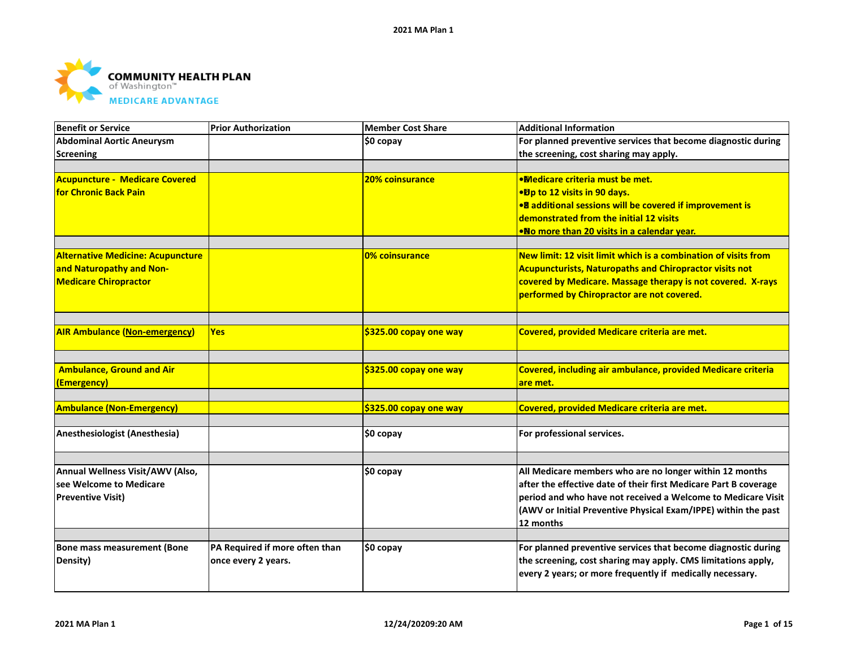

|                                |                        | <b>Additional Information</b>                                                           |
|--------------------------------|------------------------|-----------------------------------------------------------------------------------------|
|                                | \$0 copay              | For planned preventive services that become diagnostic during                           |
|                                |                        | the screening, cost sharing may apply.                                                  |
|                                | 20% coinsurance        | <b>.Medicare criteria must be met.</b>                                                  |
|                                |                        | ● Dp to 12 visits in 90 days.                                                           |
|                                |                        | • <sup>8</sup> additional sessions will be covered if improvement is                    |
|                                |                        | demonstrated from the initial 12 visits                                                 |
|                                |                        | •No more than 20 visits in a calendar year.                                             |
|                                | 0% coinsurance         | New limit: 12 visit limit which is a combination of visits from                         |
|                                |                        | <b>Acupuncturists, Naturopaths and Chiropractor visits not</b>                          |
|                                |                        | covered by Medicare. Massage therapy is not covered. X-rays                             |
|                                |                        | performed by Chiropractor are not covered.                                              |
|                                |                        |                                                                                         |
| <b>Yes</b>                     |                        | Covered, provided Medicare criteria are met.                                            |
|                                |                        |                                                                                         |
|                                |                        | Covered, including air ambulance, provided Medicare criteria                            |
|                                |                        | are met.                                                                                |
|                                | \$325.00 copay one way | Covered, provided Medicare criteria are met.                                            |
|                                |                        |                                                                                         |
|                                |                        | For professional services.                                                              |
|                                |                        |                                                                                         |
|                                |                        | All Medicare members who are no longer within 12 months                                 |
|                                |                        | after the effective date of their first Medicare Part B coverage                        |
|                                |                        | period and who have not received a Welcome to Medicare Visit                            |
|                                |                        | (AWV or Initial Preventive Physical Exam/IPPE) within the past                          |
|                                |                        | 12 months                                                                               |
| PA Required if more often than |                        | For planned preventive services that become diagnostic during                           |
| once every 2 years.            |                        | the screening, cost sharing may apply. CMS limitations apply,                           |
|                                |                        | every 2 years; or more frequently if medically necessary.                               |
|                                |                        | \$325.00 copay one way<br>\$325.00 copay one way<br>\$0 copay<br>\$0 copay<br>\$0 copay |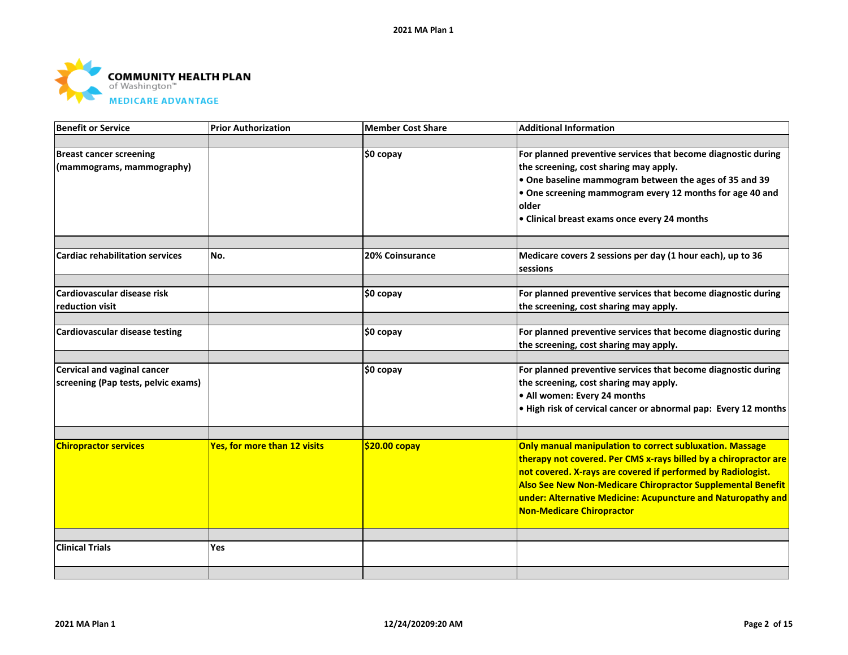

| <b>Benefit or Service</b>              | <b>Prior Authorization</b>          | <b>Member Cost Share</b> | <b>Additional Information</b>                                    |
|----------------------------------------|-------------------------------------|--------------------------|------------------------------------------------------------------|
|                                        |                                     |                          |                                                                  |
| <b>Breast cancer screening</b>         |                                     | \$0 copay                | For planned preventive services that become diagnostic during    |
| (mammograms, mammography)              |                                     |                          | the screening, cost sharing may apply.                           |
|                                        |                                     |                          | $\bullet$ One baseline mammogram between the ages of 35 and 39   |
|                                        |                                     |                          | $\bullet$ One screening mammogram every 12 months for age 40 and |
|                                        |                                     |                          | older                                                            |
|                                        |                                     |                          | • Clinical breast exams once every 24 months                     |
|                                        |                                     |                          |                                                                  |
| <b>Cardiac rehabilitation services</b> | No.                                 | 20% Coinsurance          | Medicare covers 2 sessions per day (1 hour each), up to 36       |
|                                        |                                     |                          | <b>sessions</b>                                                  |
| Cardiovascular disease risk            |                                     |                          | For planned preventive services that become diagnostic during    |
|                                        |                                     | \$0 copay                |                                                                  |
| reduction visit                        |                                     |                          | the screening, cost sharing may apply.                           |
| <b>Cardiovascular disease testing</b>  |                                     | \$0 copay                | For planned preventive services that become diagnostic during    |
|                                        |                                     |                          | the screening, cost sharing may apply.                           |
|                                        |                                     |                          |                                                                  |
| <b>Cervical and vaginal cancer</b>     |                                     | \$0 copay                | For planned preventive services that become diagnostic during    |
| screening (Pap tests, pelvic exams)    |                                     |                          | the screening, cost sharing may apply.                           |
|                                        |                                     |                          | . All women: Every 24 months                                     |
|                                        |                                     |                          | . High risk of cervical cancer or abnormal pap: Every 12 months  |
|                                        |                                     |                          |                                                                  |
| <b>Chiropractor services</b>           | <b>Yes, for more than 12 visits</b> | \$20.00 copay            | Only manual manipulation to correct subluxation. Massage         |
|                                        |                                     |                          | therapy not covered. Per CMS x-rays billed by a chiropractor are |
|                                        |                                     |                          | not covered. X-rays are covered if performed by Radiologist.     |
|                                        |                                     |                          | Also See New Non-Medicare Chiropractor Supplemental Benefit      |
|                                        |                                     |                          | under: Alternative Medicine: Acupuncture and Naturopathy and     |
|                                        |                                     |                          | Non-Medicare Chiropractor                                        |
|                                        |                                     |                          |                                                                  |
| <b>Clinical Trials</b>                 | <b>Yes</b>                          |                          |                                                                  |
|                                        |                                     |                          |                                                                  |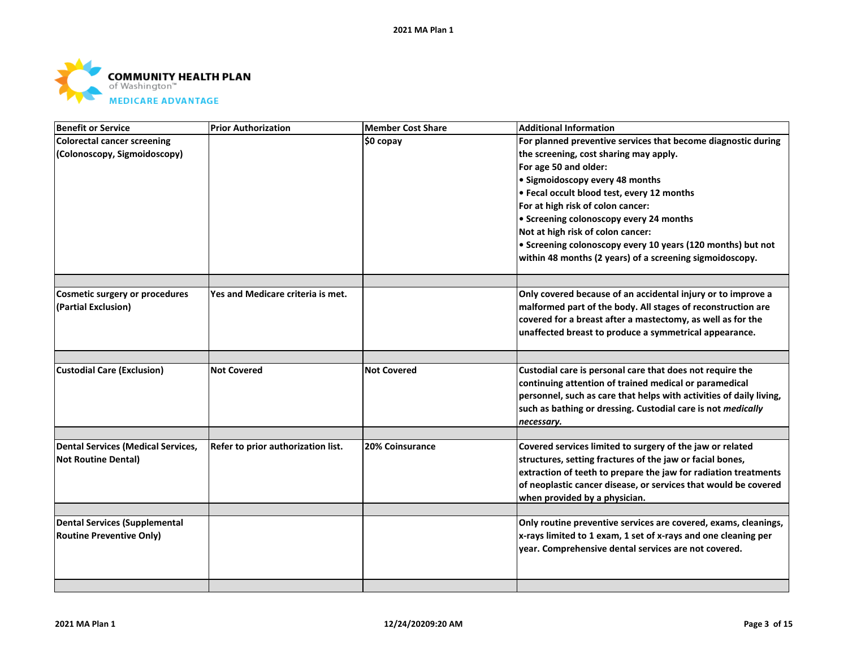

| Benefit or Service                                    | <b>Prior Authorization</b>         | <b>Member Cost Share</b> | <b>Additional Information</b>                                                                                                |
|-------------------------------------------------------|------------------------------------|--------------------------|------------------------------------------------------------------------------------------------------------------------------|
| Colorectal cancer screening                           |                                    | \$0 copay                | For planned preventive services that become diagnostic during                                                                |
| (Colonoscopy, Sigmoidoscopy)                          |                                    |                          | the screening, cost sharing may apply.                                                                                       |
|                                                       |                                    |                          | For age 50 and older:                                                                                                        |
|                                                       |                                    |                          | • Sigmoidoscopy every 48 months                                                                                              |
|                                                       |                                    |                          | • Fecal occult blood test, every 12 months                                                                                   |
|                                                       |                                    |                          | For at high risk of colon cancer:                                                                                            |
|                                                       |                                    |                          | • Screening colonoscopy every 24 months                                                                                      |
|                                                       |                                    |                          | Not at high risk of colon cancer:                                                                                            |
|                                                       |                                    |                          | • Screening colonoscopy every 10 years (120 months) but not                                                                  |
|                                                       |                                    |                          | within 48 months (2 years) of a screening sigmoidoscopy.                                                                     |
|                                                       |                                    |                          |                                                                                                                              |
| Cosmetic surgery or procedures<br>(Partial Exclusion) | Yes and Medicare criteria is met.  |                          | Only covered because of an accidental injury or to improve a<br>malformed part of the body. All stages of reconstruction are |
|                                                       |                                    |                          | covered for a breast after a mastectomy, as well as for the                                                                  |
|                                                       |                                    |                          | unaffected breast to produce a symmetrical appearance.                                                                       |
|                                                       |                                    |                          |                                                                                                                              |
|                                                       | <b>Not Covered</b>                 | <b>Not Covered</b>       |                                                                                                                              |
| <b>Custodial Care (Exclusion)</b>                     |                                    |                          | Custodial care is personal care that does not require the<br>continuing attention of trained medical or paramedical          |
|                                                       |                                    |                          | personnel, such as care that helps with activities of daily living,                                                          |
|                                                       |                                    |                          | such as bathing or dressing. Custodial care is not medically                                                                 |
|                                                       |                                    |                          | necessary.                                                                                                                   |
|                                                       |                                    |                          |                                                                                                                              |
| <b>Dental Services (Medical Services,</b>             | Refer to prior authorization list. | <b>20% Coinsurance</b>   | Covered services limited to surgery of the jaw or related                                                                    |
| <b>Not Routine Dental)</b>                            |                                    |                          | structures, setting fractures of the jaw or facial bones,                                                                    |
|                                                       |                                    |                          | extraction of teeth to prepare the jaw for radiation treatments                                                              |
|                                                       |                                    |                          | of neoplastic cancer disease, or services that would be covered                                                              |
|                                                       |                                    |                          | when provided by a physician.                                                                                                |
|                                                       |                                    |                          |                                                                                                                              |
| Dental Services (Supplemental                         |                                    |                          | Only routine preventive services are covered, exams, cleanings,                                                              |
| <b>Routine Preventive Only)</b>                       |                                    |                          | x-rays limited to 1 exam, 1 set of x-rays and one cleaning per                                                               |
|                                                       |                                    |                          | year. Comprehensive dental services are not covered.                                                                         |
|                                                       |                                    |                          |                                                                                                                              |
|                                                       |                                    |                          |                                                                                                                              |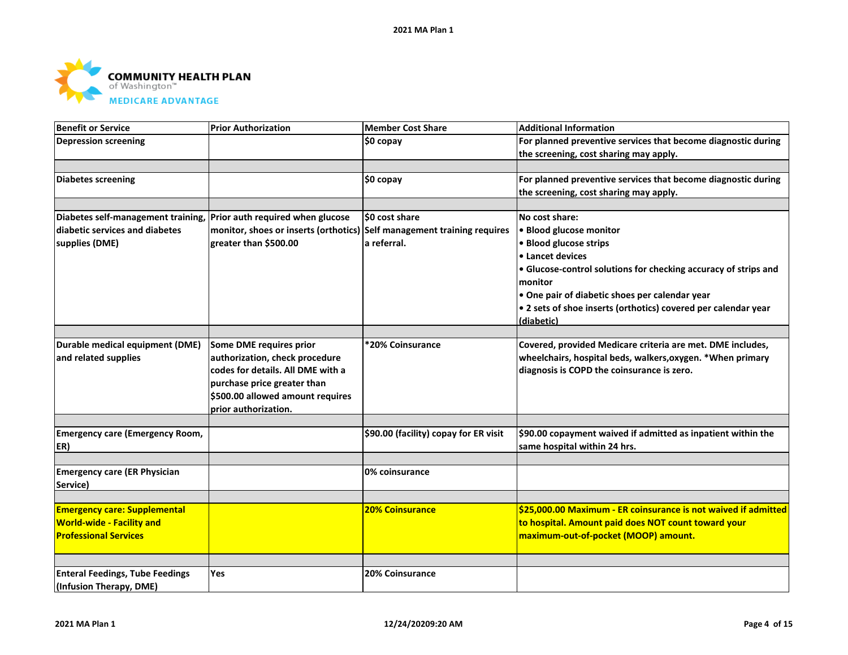

| <b>Benefit or Service</b>                                           | <b>Prior Authorization</b>                                              | <b>Member Cost Share</b>              | <b>Additional Information</b>                                   |
|---------------------------------------------------------------------|-------------------------------------------------------------------------|---------------------------------------|-----------------------------------------------------------------|
| <b>Depression screening</b>                                         |                                                                         | \$0 copay                             | For planned preventive services that become diagnostic during   |
|                                                                     |                                                                         |                                       | the screening, cost sharing may apply.                          |
|                                                                     |                                                                         |                                       |                                                                 |
| Diabetes screening                                                  |                                                                         | \$0 copay                             | For planned preventive services that become diagnostic during   |
|                                                                     |                                                                         |                                       | the screening, cost sharing may apply.                          |
|                                                                     |                                                                         |                                       |                                                                 |
| Diabetes self-management training, Prior auth required when glucose |                                                                         | \$0 cost share                        | No cost share:                                                  |
| diabetic services and diabetes                                      | monitor, shoes or inserts (orthotics) Self management training requires |                                       | • Blood glucose monitor                                         |
| supplies (DME)                                                      | greater than \$500.00                                                   | a referral.                           | · Blood glucose strips                                          |
|                                                                     |                                                                         |                                       | • Lancet devices                                                |
|                                                                     |                                                                         |                                       | • Glucose-control solutions for checking accuracy of strips and |
|                                                                     |                                                                         |                                       | monitor                                                         |
|                                                                     |                                                                         |                                       | • One pair of diabetic shoes per calendar year                  |
|                                                                     |                                                                         |                                       | • 2 sets of shoe inserts (orthotics) covered per calendar year  |
|                                                                     |                                                                         |                                       | (diabetic)                                                      |
|                                                                     |                                                                         |                                       |                                                                 |
| Durable medical equipment (DME)                                     | Some DME requires prior                                                 | *20% Coinsurance                      | Covered, provided Medicare criteria are met. DME includes,      |
| and related supplies                                                | authorization, check procedure                                          |                                       | wheelchairs, hospital beds, walkers, oxygen. * When primary     |
|                                                                     | codes for details. All DME with a                                       |                                       | diagnosis is COPD the coinsurance is zero.                      |
|                                                                     | purchase price greater than                                             |                                       |                                                                 |
|                                                                     | \$500.00 allowed amount requires                                        |                                       |                                                                 |
|                                                                     | prior authorization.                                                    |                                       |                                                                 |
|                                                                     |                                                                         |                                       |                                                                 |
| <b>Emergency care (Emergency Room,</b>                              |                                                                         | \$90.00 (facility) copay for ER visit | \$90.00 copayment waived if admitted as inpatient within the    |
| ER)                                                                 |                                                                         |                                       | same hospital within 24 hrs.                                    |
|                                                                     |                                                                         |                                       |                                                                 |
| <b>Emergency care (ER Physician</b>                                 |                                                                         | 0% coinsurance                        |                                                                 |
| Service)                                                            |                                                                         |                                       |                                                                 |
|                                                                     |                                                                         |                                       |                                                                 |
| <b>Emergency care: Supplemental</b>                                 |                                                                         | <b>20% Coinsurance</b>                | \$25,000.00 Maximum - ER coinsurance is not waived if admitted  |
| <b>World-wide - Facility and</b>                                    |                                                                         |                                       | to hospital. Amount paid does NOT count toward your             |
| <b>Professional Services</b>                                        |                                                                         |                                       | maximum-out-of-pocket (MOOP) amount.                            |
|                                                                     |                                                                         |                                       |                                                                 |
|                                                                     |                                                                         |                                       |                                                                 |
| <b>Enteral Feedings, Tube Feedings</b>                              | Yes                                                                     | 20% Coinsurance                       |                                                                 |
| (Infusion Therapy, DME)                                             |                                                                         |                                       |                                                                 |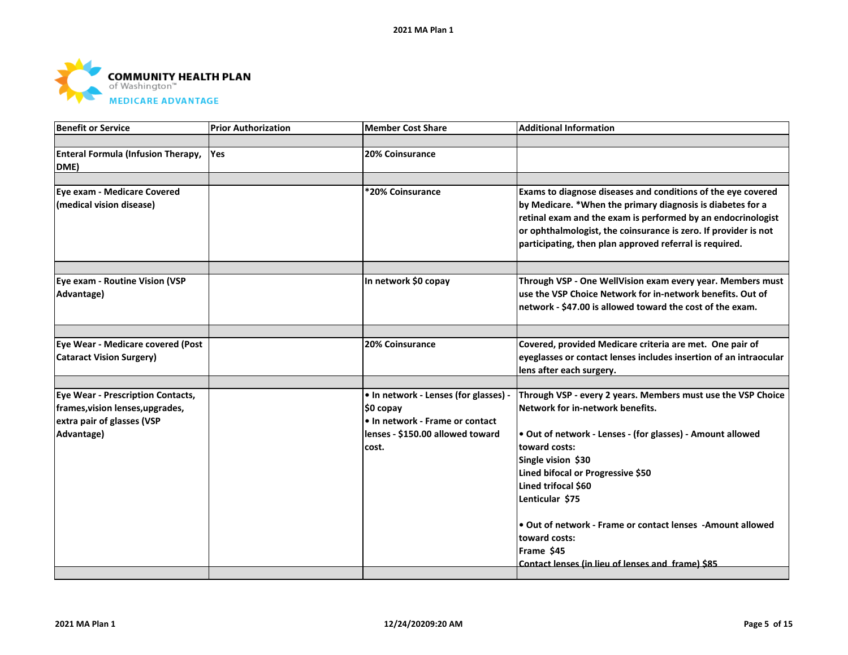

| Benefit or Service                                                                                                       | <b>Prior Authorization</b> | <b>Member Cost Share</b>                                                                                                           | <b>Additional Information</b>                                                                                                                                                                                                                                                                                                                                                                                                           |
|--------------------------------------------------------------------------------------------------------------------------|----------------------------|------------------------------------------------------------------------------------------------------------------------------------|-----------------------------------------------------------------------------------------------------------------------------------------------------------------------------------------------------------------------------------------------------------------------------------------------------------------------------------------------------------------------------------------------------------------------------------------|
|                                                                                                                          |                            |                                                                                                                                    |                                                                                                                                                                                                                                                                                                                                                                                                                                         |
| <b>Enteral Formula (Infusion Therapy,</b><br>DME)                                                                        | <b>Yes</b>                 | 20% Coinsurance                                                                                                                    |                                                                                                                                                                                                                                                                                                                                                                                                                                         |
|                                                                                                                          |                            |                                                                                                                                    |                                                                                                                                                                                                                                                                                                                                                                                                                                         |
| <b>Eye exam - Medicare Covered</b><br>(medical vision disease)                                                           |                            | *20% Coinsurance                                                                                                                   | Exams to diagnose diseases and conditions of the eye covered<br>by Medicare. *When the primary diagnosis is diabetes for a<br>retinal exam and the exam is performed by an endocrinologist<br>or ophthalmologist, the coinsurance is zero. If provider is not<br>participating, then plan approved referral is required.                                                                                                                |
|                                                                                                                          |                            |                                                                                                                                    |                                                                                                                                                                                                                                                                                                                                                                                                                                         |
| Eye exam - Routine Vision (VSP<br>Advantage)                                                                             |                            | In network \$0 copay                                                                                                               | Through VSP - One WellVision exam every year. Members must<br>use the VSP Choice Network for in-network benefits. Out of<br>network - \$47.00 is allowed toward the cost of the exam.                                                                                                                                                                                                                                                   |
|                                                                                                                          |                            |                                                                                                                                    |                                                                                                                                                                                                                                                                                                                                                                                                                                         |
| Eye Wear - Medicare covered (Post<br><b>Cataract Vision Surgery)</b>                                                     |                            | 20% Coinsurance                                                                                                                    | Covered, provided Medicare criteria are met. One pair of<br>eyeglasses or contact lenses includes insertion of an intraocular<br>lens after each surgery.                                                                                                                                                                                                                                                                               |
|                                                                                                                          |                            |                                                                                                                                    |                                                                                                                                                                                                                                                                                                                                                                                                                                         |
| <b>Eye Wear - Prescription Contacts,</b><br>frames, vision lenses, upgrades,<br>extra pair of glasses (VSP<br>Advantage) |                            | • In network - Lenses (for glasses) -<br>\$0 copay<br>• In network - Frame or contact<br>lenses - \$150.00 allowed toward<br>cost. | Through VSP - every 2 years. Members must use the VSP Choice<br>Network for in-network benefits.<br>. Out of network - Lenses - (for glasses) - Amount allowed<br>toward costs:<br>Single vision \$30<br>Lined bifocal or Progressive \$50<br>Lined trifocal \$60<br>Lenticular \$75<br>• Out of network - Frame or contact lenses - Amount allowed<br>toward costs:<br>Frame \$45<br>Contact lenses (in lieu of lenses and frame) \$85 |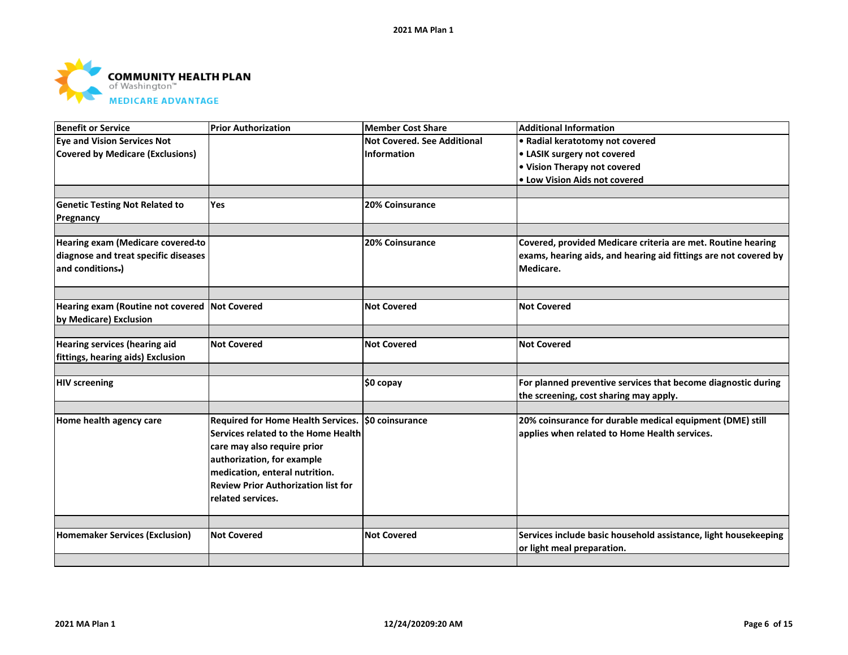

| <b>Benefit or Service</b>                     | <b>Prior Authorization</b>                         | <b>Member Cost Share</b>           | <b>Additional Information</b>                                    |
|-----------------------------------------------|----------------------------------------------------|------------------------------------|------------------------------------------------------------------|
| <b>Eye and Vision Services Not</b>            |                                                    | <b>Not Covered, See Additional</b> | • Radial keratotomy not covered                                  |
| <b>Covered by Medicare (Exclusions)</b>       |                                                    | Information                        | • LASIK surgery not covered                                      |
|                                               |                                                    |                                    | • Vision Therapy not covered                                     |
|                                               |                                                    |                                    | • Low Vision Aids not covered                                    |
|                                               |                                                    |                                    |                                                                  |
| <b>Genetic Testing Not Related to</b>         | <b>Yes</b>                                         | 20% Coinsurance                    |                                                                  |
| Pregnancy                                     |                                                    |                                    |                                                                  |
|                                               |                                                    |                                    |                                                                  |
| Hearing exam (Medicare covered-to             |                                                    | 20% Coinsurance                    | Covered, provided Medicare criteria are met. Routine hearing     |
| diagnose and treat specific diseases          |                                                    |                                    | exams, hearing aids, and hearing aid fittings are not covered by |
| and conditions.)                              |                                                    |                                    | Medicare.                                                        |
|                                               |                                                    |                                    |                                                                  |
|                                               |                                                    |                                    |                                                                  |
| Hearing exam (Routine not covered Not Covered |                                                    | <b>Not Covered</b>                 | <b>Not Covered</b>                                               |
| by Medicare) Exclusion                        |                                                    |                                    |                                                                  |
|                                               |                                                    |                                    |                                                                  |
| Hearing services (hearing aid                 | <b>Not Covered</b>                                 | <b>Not Covered</b>                 | <b>Not Covered</b>                                               |
| fittings, hearing aids) Exclusion             |                                                    |                                    |                                                                  |
|                                               |                                                    |                                    |                                                                  |
| <b>HIV screening</b>                          |                                                    | \$0 copay                          | For planned preventive services that become diagnostic during    |
|                                               |                                                    |                                    | the screening, cost sharing may apply.                           |
|                                               |                                                    |                                    |                                                                  |
| Home health agency care                       | Required for Home Health Services. \$0 coinsurance |                                    | 20% coinsurance for durable medical equipment (DME) still        |
|                                               | Services related to the Home Health                |                                    | applies when related to Home Health services.                    |
|                                               | care may also require prior                        |                                    |                                                                  |
|                                               | authorization, for example                         |                                    |                                                                  |
|                                               | medication, enteral nutrition.                     |                                    |                                                                  |
|                                               | <b>Review Prior Authorization list for</b>         |                                    |                                                                  |
|                                               | related services.                                  |                                    |                                                                  |
|                                               |                                                    |                                    |                                                                  |
|                                               |                                                    |                                    |                                                                  |
| <b>Homemaker Services (Exclusion)</b>         | <b>Not Covered</b>                                 | <b>Not Covered</b>                 | Services include basic household assistance, light housekeeping  |
|                                               |                                                    |                                    | or light meal preparation.                                       |
|                                               |                                                    |                                    |                                                                  |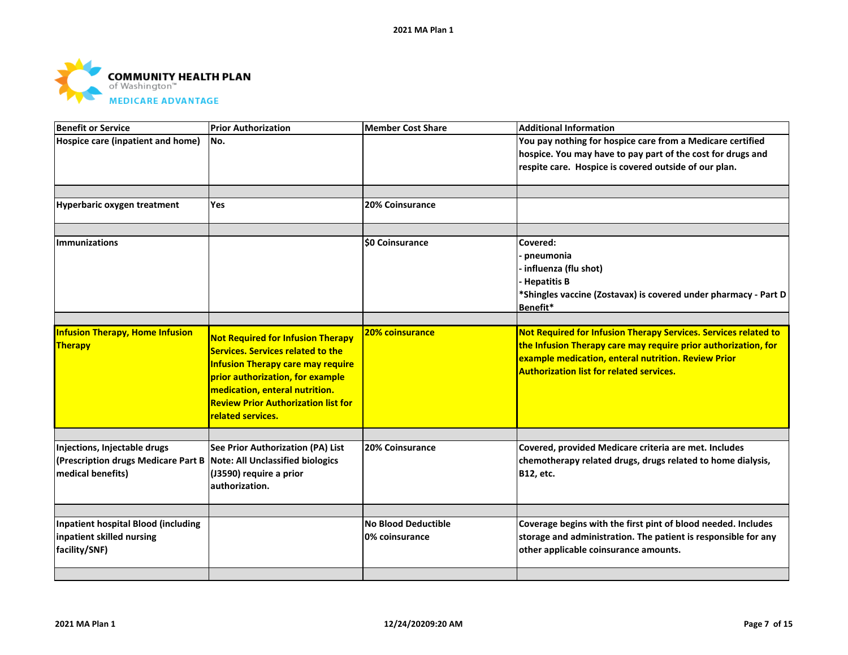

| <b>Benefit or Service</b>                                                                                                 | <b>Prior Authorization</b>                                                                                                                                                                                                                                                | <b>Member Cost Share</b>                     | <b>Additional Information</b>                                                                                                                                                                                                               |
|---------------------------------------------------------------------------------------------------------------------------|---------------------------------------------------------------------------------------------------------------------------------------------------------------------------------------------------------------------------------------------------------------------------|----------------------------------------------|---------------------------------------------------------------------------------------------------------------------------------------------------------------------------------------------------------------------------------------------|
| Hospice care (inpatient and home)                                                                                         | No.                                                                                                                                                                                                                                                                       |                                              | You pay nothing for hospice care from a Medicare certified<br>hospice. You may have to pay part of the cost for drugs and<br>respite care. Hospice is covered outside of our plan.                                                          |
| Hyperbaric oxygen treatment                                                                                               | Yes                                                                                                                                                                                                                                                                       | 20% Coinsurance                              |                                                                                                                                                                                                                                             |
| <b>Immunizations</b>                                                                                                      |                                                                                                                                                                                                                                                                           | <b>\$0 Coinsurance</b>                       | Covered:<br>pneumonia<br>· influenza (flu shot)<br><b>Hepatitis B</b><br>*Shingles vaccine (Zostavax) is covered under pharmacy - Part D<br>Benefit*                                                                                        |
| <b>Infusion Therapy, Home Infusion</b><br>Therapy                                                                         | <b>Not Required for Infusion Therapy</b><br><b>Services. Services related to the</b><br><b>Infusion Therapy care may require</b><br>prior authorization, for example<br>medication, enteral nutrition.<br><b>Review Prior Authorization list for</b><br>related services. | <b>20% coinsurance</b>                       | Not Required for Infusion Therapy Services. Services related to<br>the Infusion Therapy care may require prior authorization, for<br>example medication, enteral nutrition. Review Prior<br><b>Authorization list for related services.</b> |
| Injections, Injectable drugs<br>(Prescription drugs Medicare Part B Note: All Unclassified biologics<br>medical benefits) | See Prior Authorization (PA) List<br>(J3590) require a prior<br>authorization.                                                                                                                                                                                            | <b>20% Coinsurance</b>                       | Covered, provided Medicare criteria are met. Includes<br>chemotherapy related drugs, drugs related to home dialysis,<br><b>B12, etc.</b>                                                                                                    |
| <b>Inpatient hospital Blood (including</b><br>inpatient skilled nursing<br>facility/SNF)                                  |                                                                                                                                                                                                                                                                           | <b>No Blood Deductible</b><br>0% coinsurance | Coverage begins with the first pint of blood needed. Includes<br>storage and administration. The patient is responsible for any<br>other applicable coinsurance amounts.                                                                    |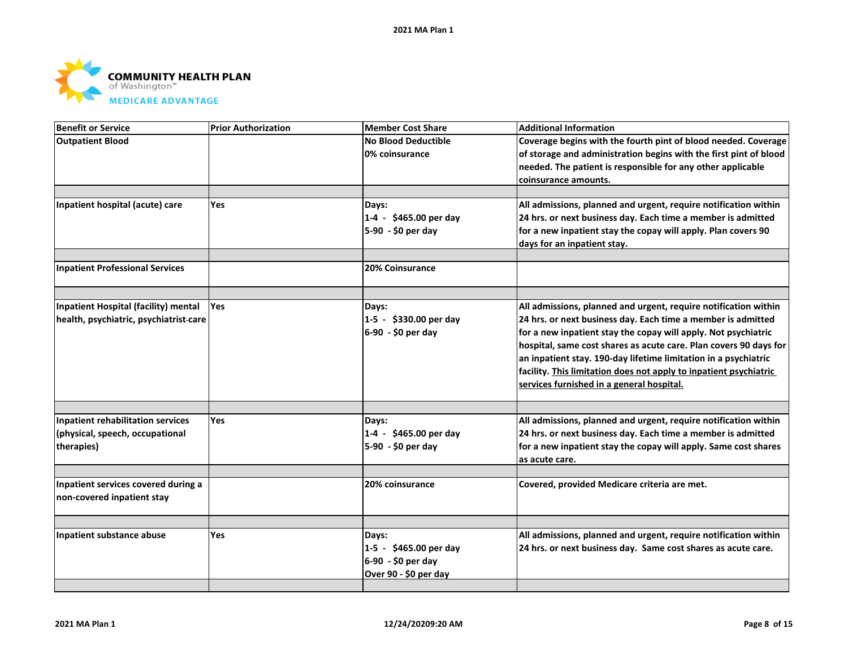

| <b>Benefit or Service</b>                | <b>Prior Authorization</b> | <b>Member Cost Share</b>   | <b>Additional Information</b>                                     |
|------------------------------------------|----------------------------|----------------------------|-------------------------------------------------------------------|
| <b>Outpatient Blood</b>                  |                            | <b>No Blood Deductible</b> | Coverage begins with the fourth pint of blood needed. Coverage    |
|                                          |                            | 0% coinsurance             | of storage and administration begins with the first pint of blood |
|                                          |                            |                            | needed. The patient is responsible for any other applicable       |
|                                          |                            |                            | coinsurance amounts.                                              |
|                                          |                            |                            |                                                                   |
| Inpatient hospital (acute) care          | Yes                        | Days:                      | All admissions, planned and urgent, require notification within   |
|                                          |                            | 1-4 - \$465.00 per day     | 24 hrs. or next business day. Each time a member is admitted      |
|                                          |                            | 5-90 - \$0 per day         | for a new inpatient stay the copay will apply. Plan covers 90     |
|                                          |                            |                            | days for an inpatient stay.                                       |
|                                          |                            |                            |                                                                   |
| <b>Inpatient Professional Services</b>   |                            | <b>20% Coinsurance</b>     |                                                                   |
|                                          |                            |                            |                                                                   |
| Inpatient Hospital (facility) mental     | <b>Yes</b>                 | Days:                      | All admissions, planned and urgent, require notification within   |
| health, psychiatric, psychiatrist-care   |                            | 1-5 - \$330.00 per day     | 24 hrs. or next business day. Each time a member is admitted      |
|                                          |                            | 6-90 - \$0 per day         | for a new inpatient stay the copay will apply. Not psychiatric    |
|                                          |                            |                            | hospital, same cost shares as acute care. Plan covers 90 days for |
|                                          |                            |                            | an inpatient stay. 190-day lifetime limitation in a psychiatric   |
|                                          |                            |                            | facility. This limitation does not apply to inpatient psychiatric |
|                                          |                            |                            | services furnished in a general hospital.                         |
|                                          |                            |                            |                                                                   |
| <b>Inpatient rehabilitation services</b> | Yes                        | Days:                      | All admissions, planned and urgent, require notification within   |
| (physical, speech, occupational          |                            | 1-4 - \$465.00 per day     | 24 hrs. or next business day. Each time a member is admitted      |
| therapies)                               |                            | 5-90 - \$0 per day         | for a new inpatient stay the copay will apply. Same cost shares   |
|                                          |                            |                            | as acute care.                                                    |
| Inpatient services covered during a      |                            | 20% coinsurance            | Covered, provided Medicare criteria are met.                      |
| non-covered inpatient stay               |                            |                            |                                                                   |
|                                          |                            |                            |                                                                   |
|                                          |                            |                            |                                                                   |
| Inpatient substance abuse                | <b>Yes</b>                 | Days:                      | All admissions, planned and urgent, require notification within   |
|                                          |                            | 1-5 - \$465.00 per day     | 24 hrs. or next business day. Same cost shares as acute care.     |
|                                          |                            | 6-90 - \$0 per day         |                                                                   |
|                                          |                            | Over 90 - \$0 per day      |                                                                   |
|                                          |                            |                            |                                                                   |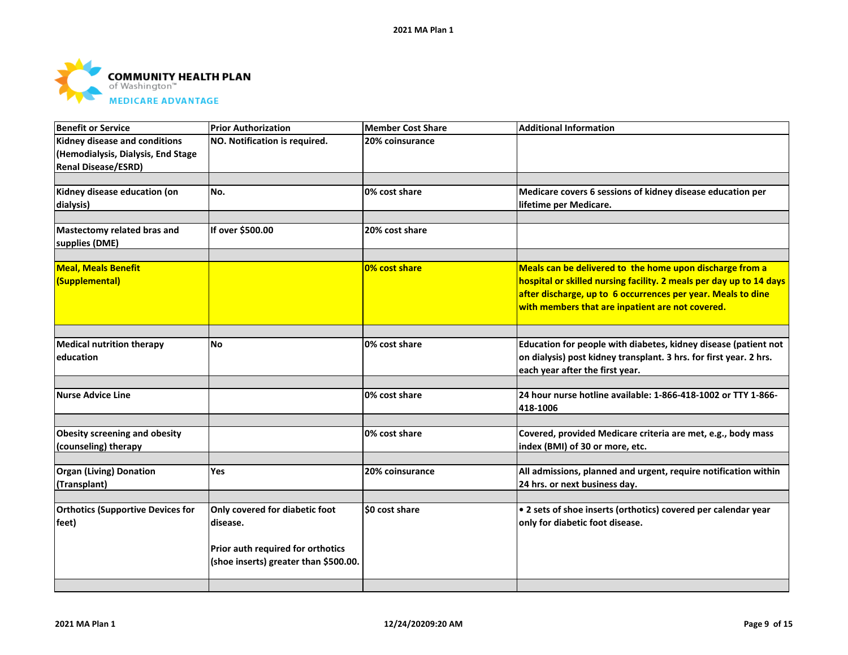

| <b>Benefit or Service</b>                                           | <b>Prior Authorization</b>            | <b>Member Cost Share</b> | <b>Additional Information</b>                                                                                                         |
|---------------------------------------------------------------------|---------------------------------------|--------------------------|---------------------------------------------------------------------------------------------------------------------------------------|
| Kidney disease and conditions<br>(Hemodialysis, Dialysis, End Stage | NO. Notification is required.         | 20% coinsurance          |                                                                                                                                       |
| <b>Renal Disease/ESRD)</b>                                          |                                       |                          |                                                                                                                                       |
|                                                                     |                                       |                          |                                                                                                                                       |
| Kidney disease education (on                                        | No.                                   | 0% cost share            | Medicare covers 6 sessions of kidney disease education per                                                                            |
| dialysis)                                                           |                                       |                          | lifetime per Medicare.                                                                                                                |
|                                                                     |                                       |                          |                                                                                                                                       |
| Mastectomy related bras and<br>supplies (DME)                       | If over \$500.00                      | 20% cost share           |                                                                                                                                       |
| <b>Meal, Meals Benefit</b>                                          |                                       | 0% cost share            | Meals can be delivered to the home upon discharge from a                                                                              |
| (Supplemental)                                                      |                                       |                          | hospital or skilled nursing facility. 2 meals per day up to 14 days                                                                   |
|                                                                     |                                       |                          | after discharge, up to 6 occurrences per year. Meals to dine                                                                          |
|                                                                     |                                       |                          | with members that are inpatient are not covered.                                                                                      |
|                                                                     |                                       |                          |                                                                                                                                       |
|                                                                     |                                       |                          |                                                                                                                                       |
| <b>Medical nutrition therapy</b><br>education                       | <b>No</b>                             | 0% cost share            | Education for people with diabetes, kidney disease (patient not<br>on dialysis) post kidney transplant. 3 hrs. for first year. 2 hrs. |
|                                                                     |                                       |                          | each year after the first year.                                                                                                       |
|                                                                     |                                       |                          |                                                                                                                                       |
| <b>Nurse Advice Line</b>                                            |                                       | 0% cost share            | 24 hour nurse hotline available: 1-866-418-1002 or TTY 1-866-                                                                         |
|                                                                     |                                       |                          | 418-1006                                                                                                                              |
|                                                                     |                                       |                          |                                                                                                                                       |
| <b>Obesity screening and obesity</b>                                |                                       | 0% cost share            | Covered, provided Medicare criteria are met, e.g., body mass                                                                          |
| (counseling) therapy                                                |                                       |                          | index (BMI) of 30 or more, etc.                                                                                                       |
| <b>Organ (Living) Donation</b>                                      | Yes                                   | 20% coinsurance          | All admissions, planned and urgent, require notification within                                                                       |
| (Transplant)                                                        |                                       |                          | 24 hrs. or next business day.                                                                                                         |
|                                                                     |                                       |                          |                                                                                                                                       |
| <b>Orthotics (Supportive Devices for</b>                            | Only covered for diabetic foot        | \$0 cost share           | • 2 sets of shoe inserts (orthotics) covered per calendar year                                                                        |
| feet)                                                               | disease.                              |                          | only for diabetic foot disease.                                                                                                       |
|                                                                     |                                       |                          |                                                                                                                                       |
|                                                                     | Prior auth required for orthotics     |                          |                                                                                                                                       |
|                                                                     | (shoe inserts) greater than \$500.00. |                          |                                                                                                                                       |
|                                                                     |                                       |                          |                                                                                                                                       |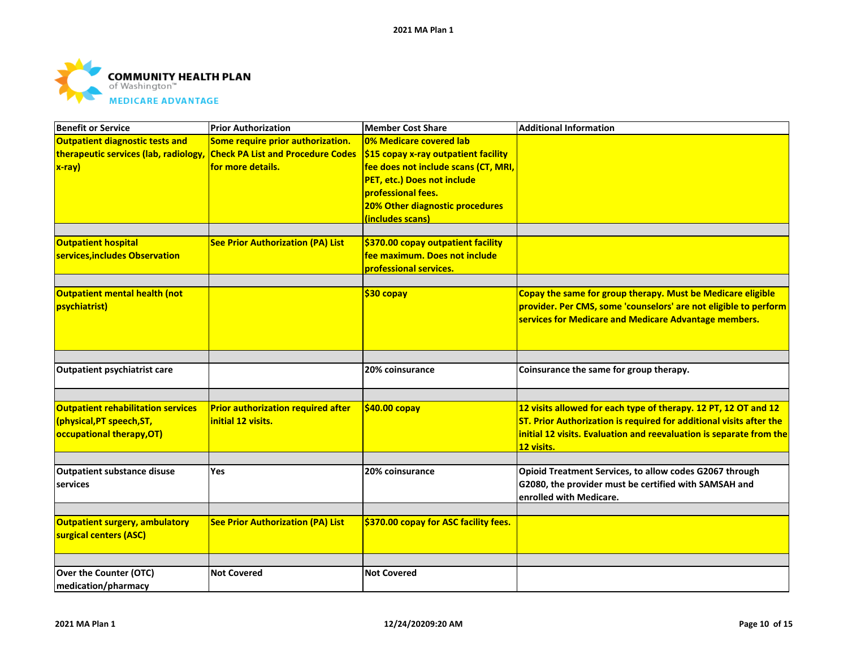

| <b>Benefit or Service</b>                 | <b>Prior Authorization</b>                | <b>Member Cost Share</b>              | <b>Additional Information</b>                                       |
|-------------------------------------------|-------------------------------------------|---------------------------------------|---------------------------------------------------------------------|
| <b>Outpatient diagnostic tests and</b>    | Some require prior authorization.         | 0% Medicare covered lab               |                                                                     |
| therapeutic services (lab, radiology      | <b>Check PA List and Procedure Codes</b>  | \$15 copay x-ray outpatient facility  |                                                                     |
| x-ray)                                    | for more details.                         | fee does not include scans (CT, MRI,  |                                                                     |
|                                           |                                           | PET, etc.) Does not include           |                                                                     |
|                                           |                                           | professional fees.                    |                                                                     |
|                                           |                                           | 20% Other diagnostic procedures       |                                                                     |
|                                           |                                           | (includes scans)                      |                                                                     |
|                                           |                                           |                                       |                                                                     |
| <b>Outpatient hospital</b>                | <b>See Prior Authorization (PA) List</b>  | \$370.00 copay outpatient facility    |                                                                     |
| services, includes Observation            |                                           | fee maximum. Does not include         |                                                                     |
|                                           |                                           | professional services.                |                                                                     |
| Outpatient mental health (not             |                                           | $$30$ copay                           | Copay the same for group therapy. Must be Medicare eligible         |
| psychiatrist)                             |                                           |                                       | provider. Per CMS, some 'counselors' are not eligible to perform    |
|                                           |                                           |                                       | services for Medicare and Medicare Advantage members.               |
|                                           |                                           |                                       |                                                                     |
|                                           |                                           |                                       |                                                                     |
| <b>Outpatient psychiatrist care</b>       |                                           | 20% coinsurance                       | Coinsurance the same for group therapy.                             |
|                                           |                                           |                                       |                                                                     |
| <b>Outpatient rehabilitation services</b> | <b>Prior authorization required after</b> | \$40.00 copay                         | 12 visits allowed for each type of therapy. 12 PT, 12 OT and 12     |
| (physical, PT speech, ST,                 | initial 12 visits.                        |                                       | ST. Prior Authorization is required for additional visits after the |
| occupational therapy, OT)                 |                                           |                                       | initial 12 visits. Evaluation and reevaluation is separate from the |
|                                           |                                           |                                       | 12 visits.                                                          |
| <b>Outpatient substance disuse</b>        | Yes                                       | 20% coinsurance                       | Opioid Treatment Services, to allow codes G2067 through             |
| services                                  |                                           |                                       | G2080, the provider must be certified with SAMSAH and               |
|                                           |                                           |                                       | enrolled with Medicare.                                             |
|                                           |                                           |                                       |                                                                     |
| <b>Outpatient surgery, ambulatory</b>     | <b>See Prior Authorization (PA) List</b>  | \$370.00 copay for ASC facility fees. |                                                                     |
| surgical centers (ASC)                    |                                           |                                       |                                                                     |
|                                           |                                           |                                       |                                                                     |
|                                           |                                           | <b>Not Covered</b>                    |                                                                     |
| Over the Counter (OTC)                    | <b>Not Covered</b>                        |                                       |                                                                     |
| medication/pharmacy                       |                                           |                                       |                                                                     |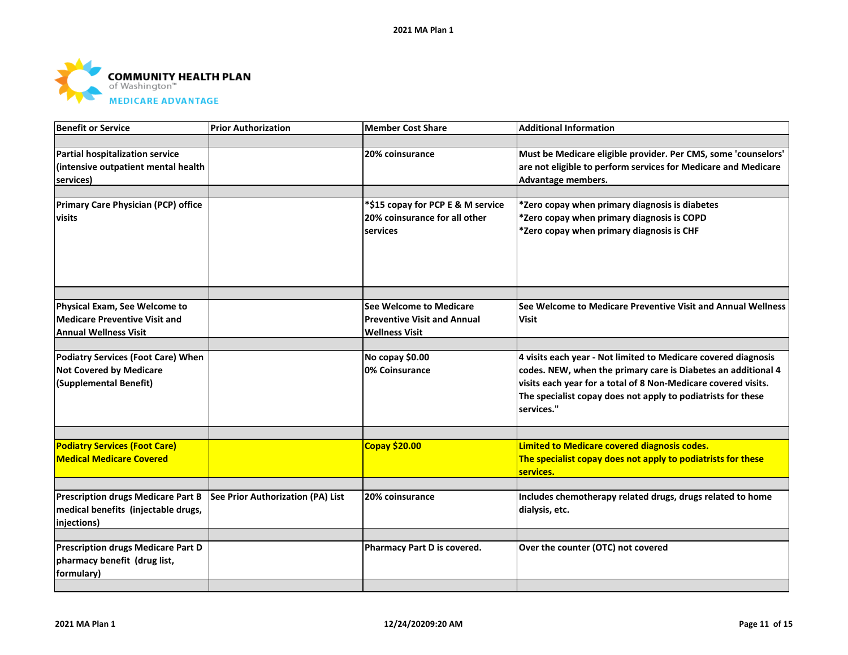

| <b>Benefit or Service</b>                 | <b>Prior Authorization</b>        | <b>Member Cost Share</b>           | <b>Additional Information</b>                                  |
|-------------------------------------------|-----------------------------------|------------------------------------|----------------------------------------------------------------|
|                                           |                                   |                                    |                                                                |
| <b>Partial hospitalization service</b>    |                                   | 20% coinsurance                    | Must be Medicare eligible provider. Per CMS, some 'counselors' |
| (intensive outpatient mental health       |                                   |                                    | are not eligible to perform services for Medicare and Medicare |
| services)                                 |                                   |                                    | Advantage members.                                             |
|                                           |                                   |                                    |                                                                |
| Primary Care Physician (PCP) office       |                                   | *\$15 copay for PCP E & M service  | *Zero copay when primary diagnosis is diabetes                 |
| visits                                    |                                   | 20% coinsurance for all other      | *Zero copay when primary diagnosis is COPD                     |
|                                           |                                   | services                           | *Zero copay when primary diagnosis is CHF                      |
|                                           |                                   |                                    |                                                                |
|                                           |                                   |                                    |                                                                |
|                                           |                                   |                                    |                                                                |
|                                           |                                   |                                    |                                                                |
|                                           |                                   |                                    |                                                                |
| Physical Exam, See Welcome to             |                                   | <b>See Welcome to Medicare</b>     | See Welcome to Medicare Preventive Visit and Annual Wellness   |
| <b>Medicare Preventive Visit and</b>      |                                   | <b>Preventive Visit and Annual</b> | <b>Visit</b>                                                   |
| <b>Annual Wellness Visit</b>              |                                   | <b>Wellness Visit</b>              |                                                                |
|                                           |                                   |                                    |                                                                |
| <b>Podiatry Services (Foot Care) When</b> |                                   | No copay \$0.00                    | 4 visits each year - Not limited to Medicare covered diagnosis |
| <b>Not Covered by Medicare</b>            |                                   | 0% Coinsurance                     | codes. NEW, when the primary care is Diabetes an additional 4  |
| (Supplemental Benefit)                    |                                   |                                    | visits each year for a total of 8 Non-Medicare covered visits. |
|                                           |                                   |                                    | The specialist copay does not apply to podiatrists for these   |
|                                           |                                   |                                    | services."                                                     |
|                                           |                                   |                                    |                                                                |
|                                           |                                   |                                    |                                                                |
| <b>Podiatry Services (Foot Care)</b>      |                                   | Copay \$20.00                      | <b>Limited to Medicare covered diagnosis codes.</b>            |
| <b>Medical Medicare Covered</b>           |                                   |                                    | The specialist copay does not apply to podiatrists for these   |
|                                           |                                   |                                    | services.                                                      |
|                                           |                                   |                                    |                                                                |
| <b>Prescription drugs Medicare Part B</b> | See Prior Authorization (PA) List | 20% coinsurance                    | Includes chemotherapy related drugs, drugs related to home     |
| medical benefits (injectable drugs,       |                                   |                                    | dialysis, etc.                                                 |
| injections)                               |                                   |                                    |                                                                |
|                                           |                                   |                                    |                                                                |
| <b>Prescription drugs Medicare Part D</b> |                                   | Pharmacy Part D is covered.        | Over the counter (OTC) not covered                             |
| pharmacy benefit (drug list,              |                                   |                                    |                                                                |
| formulary)                                |                                   |                                    |                                                                |
|                                           |                                   |                                    |                                                                |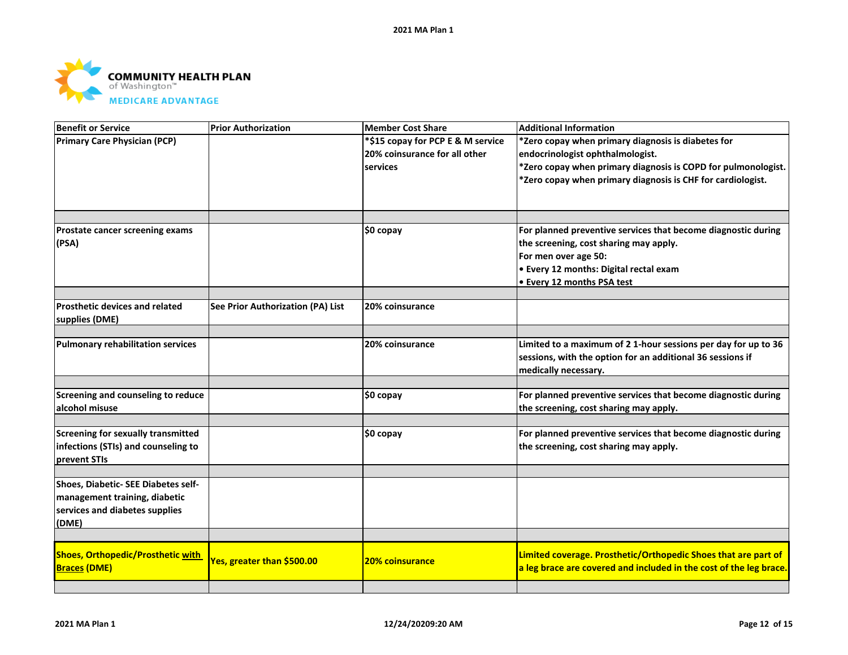

| Benefit or Service                       | <b>Prior Authorization</b>        | <b>Member Cost Share</b>          | <b>Additional Information</b>                                      |
|------------------------------------------|-----------------------------------|-----------------------------------|--------------------------------------------------------------------|
| Primary Care Physician (PCP)             |                                   | *\$15 copay for PCP E & M service | *Zero copay when primary diagnosis is diabetes for                 |
|                                          |                                   | 20% coinsurance for all other     | endocrinologist ophthalmologist.                                   |
|                                          |                                   | services                          | *Zero copay when primary diagnosis is COPD for pulmonologist.      |
|                                          |                                   |                                   | *Zero copay when primary diagnosis is CHF for cardiologist.        |
|                                          |                                   |                                   |                                                                    |
|                                          |                                   |                                   |                                                                    |
| Prostate cancer screening exams          |                                   | $$0$ copay                        | For planned preventive services that become diagnostic during      |
| (PSA)                                    |                                   |                                   | the screening, cost sharing may apply.                             |
|                                          |                                   |                                   | For men over age 50:                                               |
|                                          |                                   |                                   | • Every 12 months: Digital rectal exam                             |
|                                          |                                   |                                   | • Every 12 months PSA test                                         |
|                                          |                                   |                                   |                                                                    |
| <b>Prosthetic devices and related</b>    | See Prior Authorization (PA) List | 20% coinsurance                   |                                                                    |
| supplies (DME)                           |                                   |                                   |                                                                    |
|                                          |                                   |                                   |                                                                    |
| Pulmonary rehabilitation services        |                                   | 20% coinsurance                   | Limited to a maximum of 2 1-hour sessions per day for up to 36     |
|                                          |                                   |                                   | sessions, with the option for an additional 36 sessions if         |
|                                          |                                   |                                   | medically necessary.                                               |
| Screening and counseling to reduce       |                                   |                                   | For planned preventive services that become diagnostic during      |
| alcohol misuse                           |                                   | \$0 copay                         | the screening, cost sharing may apply.                             |
|                                          |                                   |                                   |                                                                    |
| Screening for sexually transmitted       |                                   | \$0 copay                         | For planned preventive services that become diagnostic during      |
| infections (STIs) and counseling to      |                                   |                                   | the screening, cost sharing may apply.                             |
| prevent STIs                             |                                   |                                   |                                                                    |
|                                          |                                   |                                   |                                                                    |
| Shoes, Diabetic- SEE Diabetes self-      |                                   |                                   |                                                                    |
| management training, diabetic            |                                   |                                   |                                                                    |
| services and diabetes supplies           |                                   |                                   |                                                                    |
| (DME)                                    |                                   |                                   |                                                                    |
|                                          |                                   |                                   |                                                                    |
| <b>Shoes, Orthopedic/Prosthetic with</b> |                                   |                                   | Limited coverage. Prosthetic/Orthopedic Shoes that are part of     |
| <b>Braces (DME)</b>                      | Yes, greater than \$500.00        | <b>20% coinsurance</b>            | a leg brace are covered and included in the cost of the leg brace. |
|                                          |                                   |                                   |                                                                    |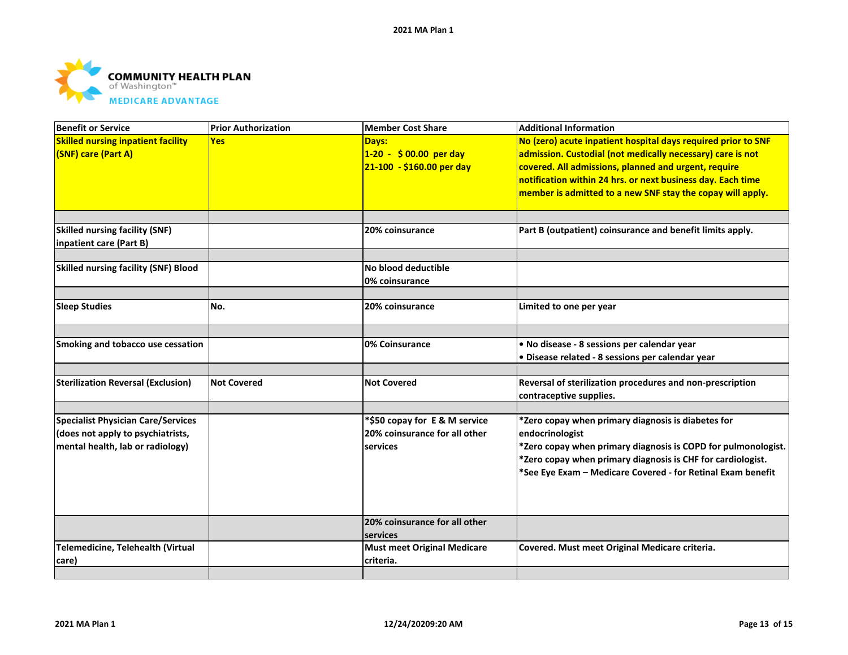

| <b>Benefit or Service</b>                   | <b>Prior Authorization</b> | <b>Member Cost Share</b>           | <b>Additional Information</b>                                 |
|---------------------------------------------|----------------------------|------------------------------------|---------------------------------------------------------------|
| <b>Skilled nursing inpatient facility</b>   | <b>Yes</b>                 | Days:                              | No (zero) acute inpatient hospital days required prior to SNF |
| (SNF) care (Part A)                         |                            | $1-20 - $00.00$ per day            | admission. Custodial (not medically necessary) care is not    |
|                                             |                            | 21-100 - \$160.00 per day          | covered. All admissions, planned and urgent, require          |
|                                             |                            |                                    | notification within 24 hrs. or next business day. Each time   |
|                                             |                            |                                    | member is admitted to a new SNF stay the copay will apply.    |
|                                             |                            |                                    |                                                               |
| <b>Skilled nursing facility (SNF)</b>       |                            | 20% coinsurance                    | Part B (outpatient) coinsurance and benefit limits apply.     |
| inpatient care (Part B)                     |                            |                                    |                                                               |
| <b>Skilled nursing facility (SNF) Blood</b> |                            | No blood deductible                |                                                               |
|                                             |                            | 0% coinsurance                     |                                                               |
| <b>Sleep Studies</b>                        | No.                        | 20% coinsurance                    | Limited to one per year                                       |
|                                             |                            |                                    |                                                               |
| Smoking and tobacco use cessation           |                            | 0% Coinsurance                     | . No disease - 8 sessions per calendar year                   |
|                                             |                            |                                    | · Disease related - 8 sessions per calendar year              |
| <b>Sterilization Reversal (Exclusion)</b>   | <b>Not Covered</b>         | <b>Not Covered</b>                 | Reversal of sterilization procedures and non-prescription     |
|                                             |                            |                                    | contraceptive supplies.                                       |
| <b>Specialist Physician Care/Services</b>   |                            | *\$50 copay for E & M service      | *Zero copay when primary diagnosis is diabetes for            |
| (does not apply to psychiatrists,           |                            | 20% coinsurance for all other      | endocrinologist                                               |
| mental health, lab or radiology)            |                            | services                           | *Zero copay when primary diagnosis is COPD for pulmonologist. |
|                                             |                            |                                    | *Zero copay when primary diagnosis is CHF for cardiologist.   |
|                                             |                            |                                    | *See Eye Exam - Medicare Covered - for Retinal Exam benefit   |
|                                             |                            |                                    |                                                               |
|                                             |                            |                                    |                                                               |
|                                             |                            | 20% coinsurance for all other      |                                                               |
|                                             |                            | services                           |                                                               |
| Telemedicine, Telehealth (Virtual           |                            | <b>Must meet Original Medicare</b> | Covered. Must meet Original Medicare criteria.                |
| care)                                       |                            | criteria.                          |                                                               |
|                                             |                            |                                    |                                                               |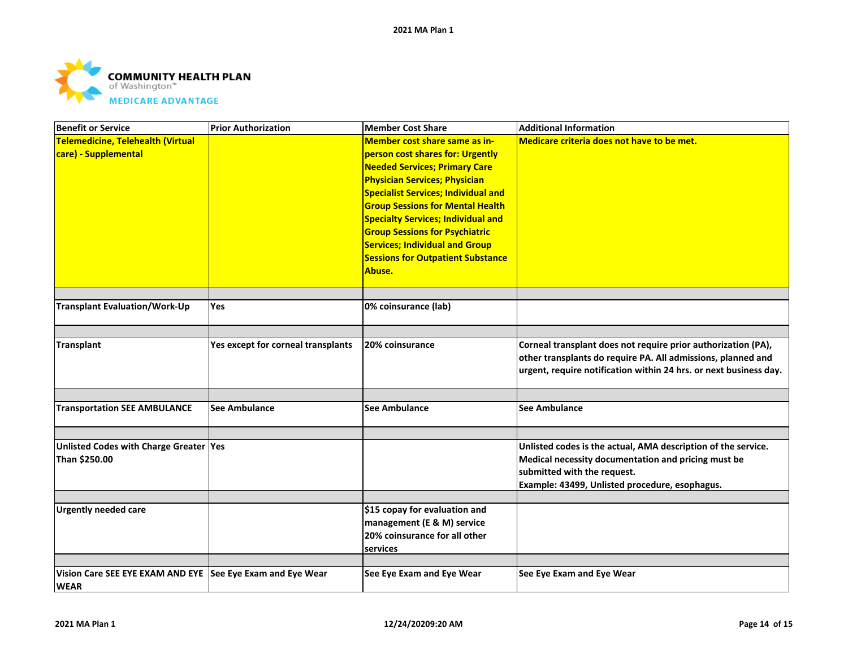

| <b>Benefit or Service</b>                                  | <b>Prior Authorization</b>         | <b>Member Cost Share</b>                   | <b>Additional Information</b>                                     |
|------------------------------------------------------------|------------------------------------|--------------------------------------------|-------------------------------------------------------------------|
| Telemedicine, Telehealth (Virtual                          |                                    | Member cost share same as in-              | Medicare criteria does not have to be met.                        |
| care) - Supplemental                                       |                                    | person cost shares for: Urgently           |                                                                   |
|                                                            |                                    | <b>Needed Services; Primary Care</b>       |                                                                   |
|                                                            |                                    | <b>Physician Services; Physician</b>       |                                                                   |
|                                                            |                                    | <b>Specialist Services; Individual and</b> |                                                                   |
|                                                            |                                    | <b>Group Sessions for Mental Health</b>    |                                                                   |
|                                                            |                                    | <b>Specialty Services; Individual and</b>  |                                                                   |
|                                                            |                                    | <b>Group Sessions for Psychiatric</b>      |                                                                   |
|                                                            |                                    | <b>Services; Individual and Group</b>      |                                                                   |
|                                                            |                                    | <b>Sessions for Outpatient Substance</b>   |                                                                   |
|                                                            |                                    | Abuse.                                     |                                                                   |
|                                                            |                                    |                                            |                                                                   |
|                                                            |                                    |                                            |                                                                   |
| <b>Transplant Evaluation/Work-Up</b>                       | Yes                                | 0% coinsurance (lab)                       |                                                                   |
|                                                            |                                    |                                            |                                                                   |
| Transplant                                                 | Yes except for corneal transplants | 20% coinsurance                            | Corneal transplant does not require prior authorization (PA),     |
|                                                            |                                    |                                            | other transplants do require PA. All admissions, planned and      |
|                                                            |                                    |                                            | urgent, require notification within 24 hrs. or next business day. |
|                                                            |                                    |                                            |                                                                   |
|                                                            |                                    |                                            |                                                                   |
| <b>Transportation SEE AMBULANCE</b>                        | See Ambulance                      | <b>See Ambulance</b>                       | <b>See Ambulance</b>                                              |
|                                                            |                                    |                                            |                                                                   |
| Unlisted Codes with Charge Greater Yes                     |                                    |                                            | Unlisted codes is the actual, AMA description of the service.     |
| Than \$250.00                                              |                                    |                                            | Medical necessity documentation and pricing must be               |
|                                                            |                                    |                                            | submitted with the request.                                       |
|                                                            |                                    |                                            | Example: 43499, Unlisted procedure, esophagus.                    |
|                                                            |                                    |                                            |                                                                   |
| <b>Urgently needed care</b>                                |                                    | \$15 copay for evaluation and              |                                                                   |
|                                                            |                                    | management (E & M) service                 |                                                                   |
|                                                            |                                    | 20% coinsurance for all other              |                                                                   |
|                                                            |                                    | services                                   |                                                                   |
| Vision Care SEE EYE EXAM AND EYE See Eye Exam and Eye Wear |                                    | See Eye Exam and Eye Wear                  | See Eye Exam and Eye Wear                                         |
| <b>WEAR</b>                                                |                                    |                                            |                                                                   |
|                                                            |                                    |                                            |                                                                   |